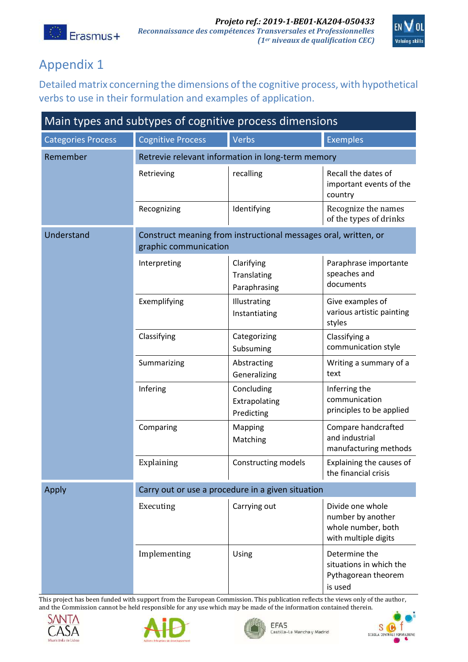



## Appendix 1

Detailed matrix concerning the dimensions of the cognitive process, with hypothetical verbs to use in their formulation and examples of application.

| Main types and subtypes of cognitive process dimensions |                                                                                          |                                           |                                                                                     |  |  |
|---------------------------------------------------------|------------------------------------------------------------------------------------------|-------------------------------------------|-------------------------------------------------------------------------------------|--|--|
| <b>Categories Process</b>                               | <b>Cognitive Process</b>                                                                 | <b>Verbs</b>                              | <b>Exemples</b>                                                                     |  |  |
| Remember                                                | Retrevie relevant information in long-term memory                                        |                                           |                                                                                     |  |  |
|                                                         | Retrieving                                                                               | recalling                                 | Recall the dates of<br>important events of the<br>country                           |  |  |
|                                                         | Recognizing                                                                              | Identifying                               | Recognize the names<br>of the types of drinks                                       |  |  |
| Understand                                              | Construct meaning from instructional messages oral, written, or<br>graphic communication |                                           |                                                                                     |  |  |
|                                                         | Interpreting                                                                             | Clarifying<br>Translating<br>Paraphrasing | Paraphrase importante<br>speaches and<br>documents                                  |  |  |
|                                                         | Exemplifying                                                                             | Illustrating<br>Instantiating             | Give examples of<br>various artistic painting<br>styles                             |  |  |
|                                                         | Classifying                                                                              | Categorizing<br>Subsuming                 | Classifying a<br>communication style                                                |  |  |
|                                                         | Summarizing                                                                              | Abstracting<br>Generalizing               | Writing a summary of a<br>text                                                      |  |  |
|                                                         | Infering                                                                                 | Concluding<br>Extrapolating<br>Predicting | Inferring the<br>communication<br>principles to be applied                          |  |  |
|                                                         | Comparing                                                                                | Mapping<br>Matching                       | Compare handcrafted<br>and industrial<br>manufacturing methods                      |  |  |
|                                                         | Explaining                                                                               | Constructing models                       | Explaining the causes of<br>the financial crisis                                    |  |  |
| Apply                                                   | Carry out or use a procedure in a given situation                                        |                                           |                                                                                     |  |  |
|                                                         | Executing                                                                                | Carrying out                              | Divide one whole<br>number by another<br>whole number, both<br>with multiple digits |  |  |
|                                                         | Implementing                                                                             | Using                                     | Determine the<br>situations in which the<br>Pythagorean theorem<br>is used          |  |  |

This project has been funded with support from the European Commission. This publication reflects the views only of the author, and the Commission cannot be held responsible for any use which may be made of the information contained therein.